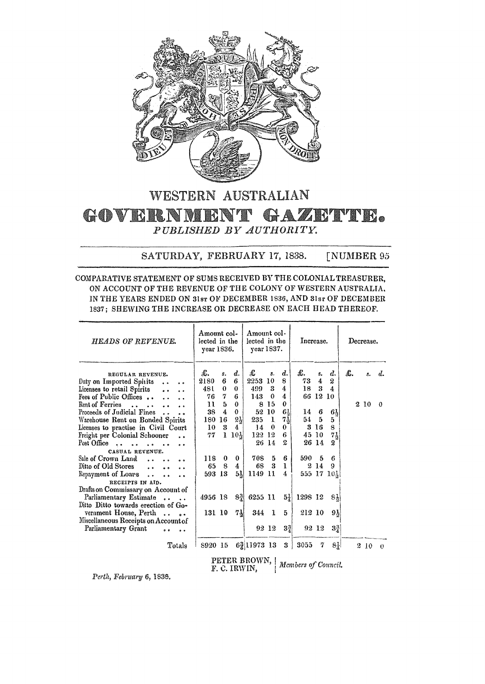

## WESTERN AUSTRALIAN GOVERNMENT GAZETTE. *PUBLISHED BY AUTHORITY.*

## SATURDAY, FEBRUARY 17, 1838. [NUMBER 95

COMPARATIVE STATEMENT OF SUMS RECEIVED BY THE COLONIAL TREASURER. ON ACCOUNT OF THE REVENUE OF THE COLONY OF WESTERN AUSTRALIA. IN THE YEARS ENDED ON 31sr OF DECEMBER 1836, AND 31sr OF DECEMBER 1837; SHEWING THE INCREASE OR DECREASE ON EACH HEAD THEREOF.

| <b>HEADS OF REVENUE.</b>                                                                                                                                                                                                                                                                                                       | Amount col-<br>lected in the<br>year 1836. |                          | Amount col-<br>lected in the<br>year 1837.              |                                                          |                                           | Increase.                                            |                             |                       | Decrease.                               |    |      |           |
|--------------------------------------------------------------------------------------------------------------------------------------------------------------------------------------------------------------------------------------------------------------------------------------------------------------------------------|--------------------------------------------|--------------------------|---------------------------------------------------------|----------------------------------------------------------|-------------------------------------------|------------------------------------------------------|-----------------------------|-----------------------|-----------------------------------------|----|------|-----------|
| REGULAR REVENUE.<br>Duty on Imported Spirits<br>$\ddot{\bullet}$<br>$\bullet$ $\bullet$<br>Licenses to retail Spirits<br>$\ddot{\phantom{0}}$<br>Fees of Public Offices<br>$\ddot{\phantom{0}}$                                                                                                                                | £.<br>2180<br>48 L<br>76                   | s.<br>6<br>$\bf{0}$<br>7 | d.<br>6<br>$\bf{0}$<br>6                                | £<br>2253<br>499<br>143                                  | 3.<br>-10<br>3<br>$\bf{0}$                | d.<br>8<br>4<br>4                                    | £.<br>73<br>18<br>66        | s.<br>4<br>3<br>12 10 | d.<br>$\boldsymbol{2}$<br>4             | £. |      | $s \, d.$ |
| Rent of Ferries<br>$\bullet \bullet \bullet \bullet \bullet$<br>$\ddot{\phantom{0}}$<br>$\ddot{\phantom{0}}$<br>Proceeds of Judicial Fines<br>Warehouse Rent on Bonded Spirits<br>Licenses to practise in Civil Court<br>Freight per Colonial Schooner<br>Post Office<br>$\sim$<br>$\bullet$ $\bullet$<br>$\ddot{\phantom{0}}$ | 11<br>38<br>180<br>10<br>77                | 5<br>4<br>16<br>3<br>1   | $\bf{0}$<br>0<br>$2\frac{1}{2}$<br>4<br>$10\frac{1}{2}$ | 8<br>235<br>14<br>122 12                                 | 15<br>52 10<br>$\mathbf{1}$<br>0<br>26 14 | 0<br>$6\frac{1}{2}$<br>$7\frac{1}{2}$<br>0<br>6<br>2 | 14 6<br>54<br>45 10         | $-5$<br>3 16<br>26 14 | 61,<br>5<br>8<br>71<br>$\boldsymbol{2}$ |    | 2 10 | $\bf{0}$  |
| CASUAL REVENUE.<br>Sale of Crown Land<br>$\bullet$ $\bullet$<br>Ditto of Old Stores<br>$\ddot{\phantom{0}}$<br>Repayment of Loars<br>$\ddot{\bullet}$<br>$\ddot{\phantom{a}}$<br>RECEIPTS IN AID.                                                                                                                              | 118<br>65<br>593 13                        | $\bf{0}$<br>8            | $\bf{0}$<br>4<br>$5\frac{1}{2}$                         | 708<br>68<br>1149 11                                     | 5<br>3                                    | 6<br>1<br>4                                          | 590                         | 5<br>2 14             | 6<br>9<br>555 17 10}                    |    |      |           |
| Drafts on Commissary on Account of<br>Parliamentary Estimate<br>Ditto Ditto towards erection of Go-<br>vernment House, Perth<br>Miscellaneous Receipts on Account of<br>Parliamentary Grant                                                                                                                                    | 4956 18<br>131 10                          |                          | $ 8\frac{3}{4} $<br>$7\frac{1}{2}$                      | 6255 11<br>344                                           | - 1<br>92 12                              | $5\frac{1}{4}$<br>5<br>$3\frac{3}{4}$                | 1298 12<br>212 10           | 92 12                 | $8\frac{1}{2}$<br>91<br>$3\frac{3}{4}$  |    |      |           |
| Totals                                                                                                                                                                                                                                                                                                                         | 8920 15                                    |                          |                                                         | 6 $\frac{3}{4}$ 11973 13<br>PETER BROWN.<br>F. C. IRWIN, |                                           | 3                                                    | 3055<br>Members of Council. | 7                     | 8H                                      |    | 2 10 | $\theta$  |

*Perth, February* 6, 1835.